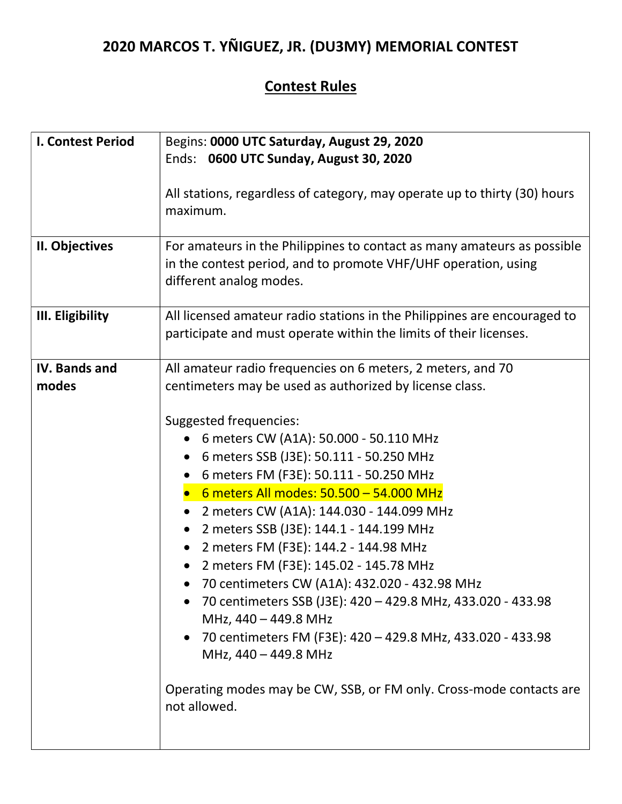## 2020 MARCOS T. YÑIGUEZ, JR. (DU3MY) MEMORIAL CONTEST

## Contest Rules

| <b>I. Contest Period</b> | Begins: 0000 UTC Saturday, August 29, 2020                                                                                                                                                                                                                                                                                                                                                                                                                                                                                                                                                                                                                                                        |
|--------------------------|---------------------------------------------------------------------------------------------------------------------------------------------------------------------------------------------------------------------------------------------------------------------------------------------------------------------------------------------------------------------------------------------------------------------------------------------------------------------------------------------------------------------------------------------------------------------------------------------------------------------------------------------------------------------------------------------------|
|                          | Ends: 0600 UTC Sunday, August 30, 2020                                                                                                                                                                                                                                                                                                                                                                                                                                                                                                                                                                                                                                                            |
|                          | All stations, regardless of category, may operate up to thirty (30) hours<br>maximum.                                                                                                                                                                                                                                                                                                                                                                                                                                                                                                                                                                                                             |
| II. Objectives           | For amateurs in the Philippines to contact as many amateurs as possible<br>in the contest period, and to promote VHF/UHF operation, using<br>different analog modes.                                                                                                                                                                                                                                                                                                                                                                                                                                                                                                                              |
| III. Eligibility         | All licensed amateur radio stations in the Philippines are encouraged to<br>participate and must operate within the limits of their licenses.                                                                                                                                                                                                                                                                                                                                                                                                                                                                                                                                                     |
| <b>IV. Bands and</b>     | All amateur radio frequencies on 6 meters, 2 meters, and 70                                                                                                                                                                                                                                                                                                                                                                                                                                                                                                                                                                                                                                       |
| modes                    | centimeters may be used as authorized by license class.                                                                                                                                                                                                                                                                                                                                                                                                                                                                                                                                                                                                                                           |
|                          | Suggested frequencies:<br>6 meters CW (A1A): 50.000 - 50.110 MHz<br>6 meters SSB (J3E): 50.111 - 50.250 MHz<br>6 meters FM (F3E): 50.111 - 50.250 MHz<br>6 meters All modes: 50.500 - 54.000 MHz<br>2 meters CW (A1A): 144.030 - 144.099 MHz<br>2 meters SSB (J3E): 144.1 - 144.199 MHz<br>2 meters FM (F3E): 144.2 - 144.98 MHz<br>2 meters FM (F3E): 145.02 - 145.78 MHz<br>70 centimeters CW (A1A): 432.020 - 432.98 MHz<br>70 centimeters SSB (J3E): 420 - 429.8 MHz, 433.020 - 433.98<br>MHz, 440 - 449.8 MHz<br>• 70 centimeters FM (F3E): 420 - 429.8 MHz, 433.020 - 433.98<br>MHz, 440 - 449.8 MHz<br>Operating modes may be CW, SSB, or FM only. Cross-mode contacts are<br>not allowed. |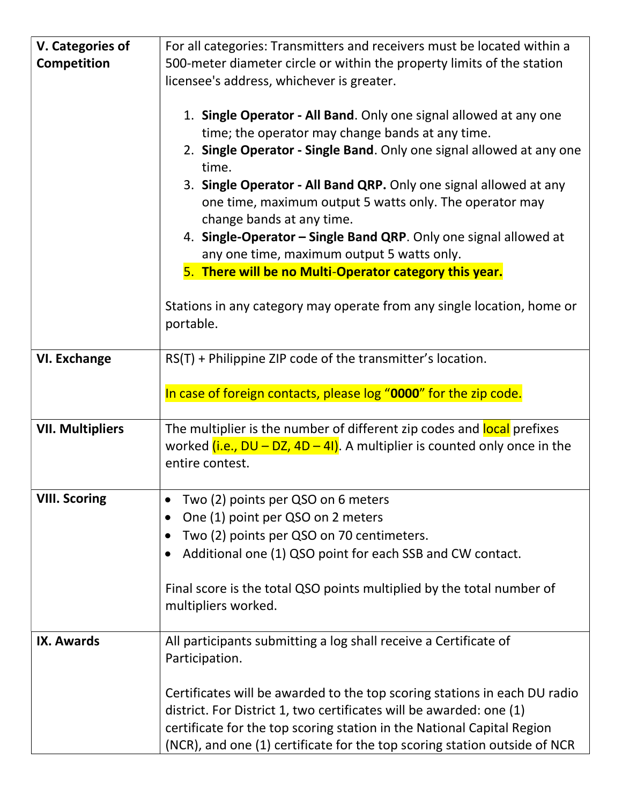| V. Categories of        | For all categories: Transmitters and receivers must be located within a      |
|-------------------------|------------------------------------------------------------------------------|
| <b>Competition</b>      | 500-meter diameter circle or within the property limits of the station       |
|                         | licensee's address, whichever is greater.                                    |
|                         |                                                                              |
|                         | 1. Single Operator - All Band. Only one signal allowed at any one            |
|                         | time; the operator may change bands at any time.                             |
|                         | 2. Single Operator - Single Band. Only one signal allowed at any one         |
|                         | time.                                                                        |
|                         | 3. Single Operator - All Band QRP. Only one signal allowed at any            |
|                         | one time, maximum output 5 watts only. The operator may                      |
|                         | change bands at any time.                                                    |
|                         | 4. Single-Operator - Single Band QRP. Only one signal allowed at             |
|                         | any one time, maximum output 5 watts only.                                   |
|                         | 5. There will be no Multi-Operator category this year.                       |
|                         |                                                                              |
|                         | Stations in any category may operate from any single location, home or       |
|                         | portable.                                                                    |
| <b>VI. Exchange</b>     | RS(T) + Philippine ZIP code of the transmitter's location.                   |
|                         |                                                                              |
|                         | In case of foreign contacts, please log "0000" for the zip code.             |
|                         |                                                                              |
| <b>VII. Multipliers</b> | The multiplier is the number of different zip codes and local prefixes       |
|                         | worked $(i.e., DU - DZ, 4D - 41)$ . A multiplier is counted only once in the |
|                         | entire contest.                                                              |
|                         |                                                                              |
| <b>VIII. Scoring</b>    | Two (2) points per QSO on 6 meters                                           |
|                         | One (1) point per QSO on 2 meters<br>$\bullet$                               |
|                         | Two (2) points per QSO on 70 centimeters.<br>$\bullet$                       |
|                         | Additional one (1) QSO point for each SSB and CW contact.<br>$\bullet$       |
|                         |                                                                              |
|                         | Final score is the total QSO points multiplied by the total number of        |
|                         | multipliers worked.                                                          |
| <b>IX. Awards</b>       | All participants submitting a log shall receive a Certificate of             |
|                         | Participation.                                                               |
|                         |                                                                              |
|                         | Certificates will be awarded to the top scoring stations in each DU radio    |
|                         | district. For District 1, two certificates will be awarded: one (1)          |
|                         | certificate for the top scoring station in the National Capital Region       |
|                         | (NCR), and one (1) certificate for the top scoring station outside of NCR    |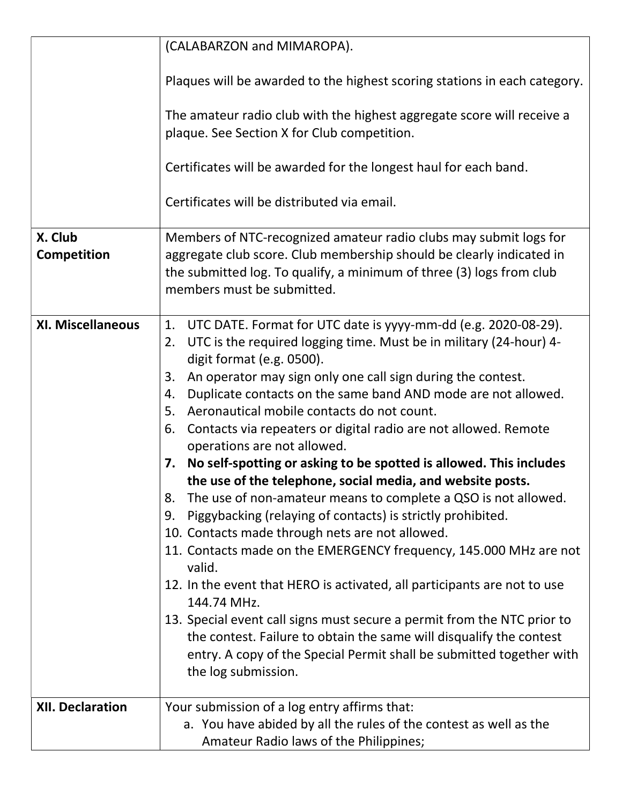|                          | (CALABARZON and MIMAROPA).                                                                                                                                                                                                                                                                                                                                                                                                                                                                                                                                                                                                                                                                                                                                                                                                                                                                                                                                                                                                                                                                                                                                                                                                                                 |
|--------------------------|------------------------------------------------------------------------------------------------------------------------------------------------------------------------------------------------------------------------------------------------------------------------------------------------------------------------------------------------------------------------------------------------------------------------------------------------------------------------------------------------------------------------------------------------------------------------------------------------------------------------------------------------------------------------------------------------------------------------------------------------------------------------------------------------------------------------------------------------------------------------------------------------------------------------------------------------------------------------------------------------------------------------------------------------------------------------------------------------------------------------------------------------------------------------------------------------------------------------------------------------------------|
|                          | Plaques will be awarded to the highest scoring stations in each category.                                                                                                                                                                                                                                                                                                                                                                                                                                                                                                                                                                                                                                                                                                                                                                                                                                                                                                                                                                                                                                                                                                                                                                                  |
|                          | The amateur radio club with the highest aggregate score will receive a<br>plaque. See Section X for Club competition.                                                                                                                                                                                                                                                                                                                                                                                                                                                                                                                                                                                                                                                                                                                                                                                                                                                                                                                                                                                                                                                                                                                                      |
|                          | Certificates will be awarded for the longest haul for each band.                                                                                                                                                                                                                                                                                                                                                                                                                                                                                                                                                                                                                                                                                                                                                                                                                                                                                                                                                                                                                                                                                                                                                                                           |
|                          | Certificates will be distributed via email.                                                                                                                                                                                                                                                                                                                                                                                                                                                                                                                                                                                                                                                                                                                                                                                                                                                                                                                                                                                                                                                                                                                                                                                                                |
| X. Club<br>Competition   | Members of NTC-recognized amateur radio clubs may submit logs for<br>aggregate club score. Club membership should be clearly indicated in<br>the submitted log. To qualify, a minimum of three (3) logs from club<br>members must be submitted.                                                                                                                                                                                                                                                                                                                                                                                                                                                                                                                                                                                                                                                                                                                                                                                                                                                                                                                                                                                                            |
| <b>XI. Miscellaneous</b> | UTC DATE. Format for UTC date is yyyy-mm-dd (e.g. 2020-08-29).<br>1.<br>UTC is the required logging time. Must be in military (24-hour) 4-<br>2.<br>digit format (e.g. 0500).<br>An operator may sign only one call sign during the contest.<br>3.<br>Duplicate contacts on the same band AND mode are not allowed.<br>4.<br>5.<br>Aeronautical mobile contacts do not count.<br>Contacts via repeaters or digital radio are not allowed. Remote<br>6.<br>operations are not allowed.<br>No self-spotting or asking to be spotted is allowed. This includes<br>7.<br>the use of the telephone, social media, and website posts.<br>The use of non-amateur means to complete a QSO is not allowed.<br>8.<br>Piggybacking (relaying of contacts) is strictly prohibited.<br>9.<br>10. Contacts made through nets are not allowed.<br>11. Contacts made on the EMERGENCY frequency, 145.000 MHz are not<br>valid.<br>12. In the event that HERO is activated, all participants are not to use<br>144.74 MHz.<br>13. Special event call signs must secure a permit from the NTC prior to<br>the contest. Failure to obtain the same will disqualify the contest<br>entry. A copy of the Special Permit shall be submitted together with<br>the log submission. |
| <b>XII. Declaration</b>  | Your submission of a log entry affirms that:<br>a. You have abided by all the rules of the contest as well as the<br>Amateur Radio laws of the Philippines;                                                                                                                                                                                                                                                                                                                                                                                                                                                                                                                                                                                                                                                                                                                                                                                                                                                                                                                                                                                                                                                                                                |